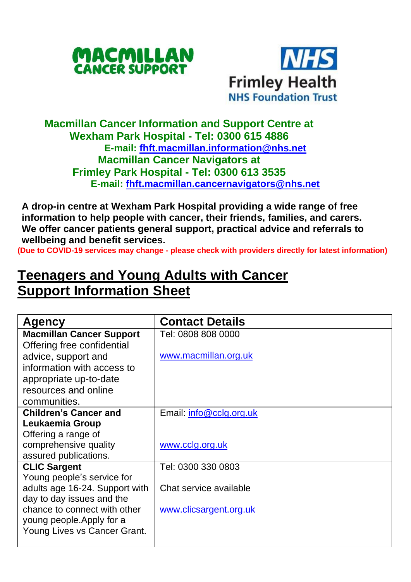



## **Macmillan Cancer Information and Support Centre at Wexham Park Hospital - Tel: 0300 615 4886 E-mail: [fhft.macmillan.information@nhs.net](mailto:fhft.macmillan.information@nhs.net) Macmillan Cancer Navigators at Frimley Park Hospital - Tel: 0300 613 3535 E-mail: [fhft.macmillan.cancernavigators@nhs.net](mailto:fhft.macmillan.cancernavigators@nhs.net)**

**A drop-in centre at Wexham Park Hospital providing a wide range of free information to help people with cancer, their friends, families, and carers. We offer cancer patients general support, practical advice and referrals to wellbeing and benefit services.**

**(Due to COVID-19 services may change - please check with providers directly for latest information)**

## **Teenagers and Young Adults with Cancer Support Information Sheet**

| Agency                          | <b>Contact Details</b>  |
|---------------------------------|-------------------------|
| <b>Macmillan Cancer Support</b> | Tel: 0808 808 0000      |
| Offering free confidential      |                         |
| advice, support and             | www.macmillan.org.uk    |
| information with access to      |                         |
| appropriate up-to-date          |                         |
| resources and online            |                         |
| communities.                    |                         |
| <b>Children's Cancer and</b>    | Email: info@cclg.org.uk |
| Leukaemia Group                 |                         |
| Offering a range of             |                         |
| comprehensive quality           | www.cclg.org.uk         |
| assured publications.           |                         |
| <b>CLIC Sargent</b>             | Tel: 0300 330 0803      |
| Young people's service for      |                         |
| adults age 16-24. Support with  | Chat service available  |
| day to day issues and the       |                         |
| chance to connect with other    | www.clicsargent.org.uk  |
| young people. Apply for a       |                         |
| Young Lives vs Cancer Grant.    |                         |
|                                 |                         |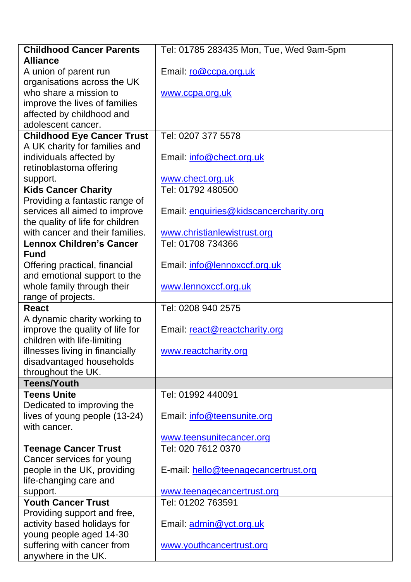| <b>Childhood Cancer Parents</b>                   | Tel: 01785 283435 Mon, Tue, Wed 9am-5pm |
|---------------------------------------------------|-----------------------------------------|
| <b>Alliance</b>                                   |                                         |
| A union of parent run                             | Email: ro@ccpa.org.uk                   |
| organisations across the UK                       |                                         |
| who share a mission to                            | www.ccpa.org.uk                         |
| improve the lives of families                     |                                         |
| affected by childhood and                         |                                         |
| adolescent cancer.                                |                                         |
| <b>Childhood Eye Cancer Trust</b>                 | Tel: 0207 377 5578                      |
| A UK charity for families and                     |                                         |
| individuals affected by                           | Email: info@chect.org.uk                |
| retinoblastoma offering                           |                                         |
| support.                                          | www.chect.org.uk                        |
| <b>Kids Cancer Charity</b>                        | Tel: 01792 480500                       |
| Providing a fantastic range of                    |                                         |
| services all aimed to improve                     | Email: enquiries@kidscancercharity.org  |
| the quality of life for children                  |                                         |
| with cancer and their families.                   | www.christianlewistrust.org             |
| <b>Lennox Children's Cancer</b>                   | Tel: 01708 734366                       |
| <b>Fund</b>                                       |                                         |
| Offering practical, financial                     | Email: info@lennoxccf.org.uk            |
| and emotional support to the                      |                                         |
| whole family through their                        | www.lennoxccf.org.uk                    |
| range of projects.                                |                                         |
| <b>React</b>                                      | Tel: 0208 940 2575                      |
| A dynamic charity working to                      |                                         |
| improve the quality of life for                   | Email: react@reactcharity.org           |
| children with life-limiting                       |                                         |
| illnesses living in financially                   | www.reactcharity.org                    |
| disadvantaged households                          |                                         |
| throughout the UK.                                |                                         |
| <b>Teens/Youth</b>                                |                                         |
| <b>Teens Unite</b>                                | Tel: 01992 440091                       |
| Dedicated to improving the                        | Email: info@teensunite.org              |
| lives of young people (13-24)<br>with cancer.     |                                         |
|                                                   |                                         |
|                                                   |                                         |
|                                                   | www.teensunitecancer.org                |
| <b>Teenage Cancer Trust</b>                       | Tel: 020 7612 0370                      |
| Cancer services for young                         |                                         |
| people in the UK, providing                       | E-mail: hello@teenagecancertrust.org    |
| life-changing care and                            |                                         |
| support.                                          | www.teenagecancertrust.org              |
| <b>Youth Cancer Trust</b>                         | Tel: 01202 763591                       |
| Providing support and free,                       |                                         |
| activity based holidays for                       | Email: admin@yct.org.uk                 |
| young people aged 14-30                           |                                         |
| suffering with cancer from<br>anywhere in the UK. | www.youthcancertrust.org                |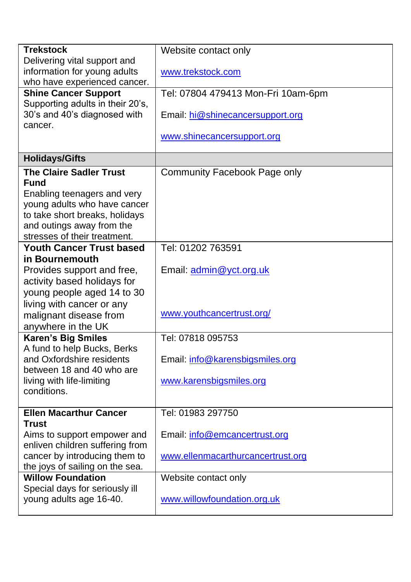| <b>Trekstock</b>                                         | Website contact only               |  |  |
|----------------------------------------------------------|------------------------------------|--|--|
| Delivering vital support and                             |                                    |  |  |
| information for young adults                             | www.trekstock.com                  |  |  |
| who have experienced cancer.                             |                                    |  |  |
| <b>Shine Cancer Support</b>                              | Tel: 07804 479413 Mon-Fri 10am-6pm |  |  |
| Supporting adults in their 20's,                         |                                    |  |  |
| 30's and 40's diagnosed with                             | Email: hi@shinecancersupport.org   |  |  |
| cancer.                                                  |                                    |  |  |
|                                                          | www.shinecancersupport.org         |  |  |
| <b>Holidays/Gifts</b>                                    |                                    |  |  |
| <b>The Claire Sadler Trust</b>                           | Community Facebook Page only       |  |  |
| <b>Fund</b>                                              |                                    |  |  |
| Enabling teenagers and very                              |                                    |  |  |
| young adults who have cancer                             |                                    |  |  |
| to take short breaks, holidays                           |                                    |  |  |
| and outings away from the                                |                                    |  |  |
| stresses of their treatment.                             |                                    |  |  |
| <b>Youth Cancer Trust based</b>                          | Tel: 01202 763591                  |  |  |
| in Bournemouth                                           |                                    |  |  |
| Provides support and free,                               | Email: admin@yct.org.uk            |  |  |
| activity based holidays for                              |                                    |  |  |
| young people aged 14 to 30                               |                                    |  |  |
| living with cancer or any                                |                                    |  |  |
| malignant disease from                                   | www.youthcancertrust.org/          |  |  |
| anywhere in the UK                                       |                                    |  |  |
| <b>Karen's Big Smiles</b>                                | Tel: 07818 095753                  |  |  |
| A fund to help Bucks, Berks<br>and Oxfordshire residents |                                    |  |  |
| between 18 and 40 who are                                | Email: info@karensbigsmiles.org    |  |  |
| living with life-limiting                                | www.karensbigsmiles.org            |  |  |
| conditions.                                              |                                    |  |  |
|                                                          |                                    |  |  |
| <b>Ellen Macarthur Cancer</b>                            | Tel: 01983 297750                  |  |  |
| <b>Trust</b>                                             |                                    |  |  |
| Aims to support empower and                              | Email: info@emcancertrust.org      |  |  |
| enliven children suffering from                          |                                    |  |  |
| cancer by introducing them to                            | www.ellenmacarthurcancertrust.org  |  |  |
| the joys of sailing on the sea.                          |                                    |  |  |
| <b>Willow Foundation</b>                                 | Website contact only               |  |  |
| Special days for seriously ill                           |                                    |  |  |
| young adults age 16-40.                                  | www.willowfoundation.org.uk        |  |  |
|                                                          |                                    |  |  |